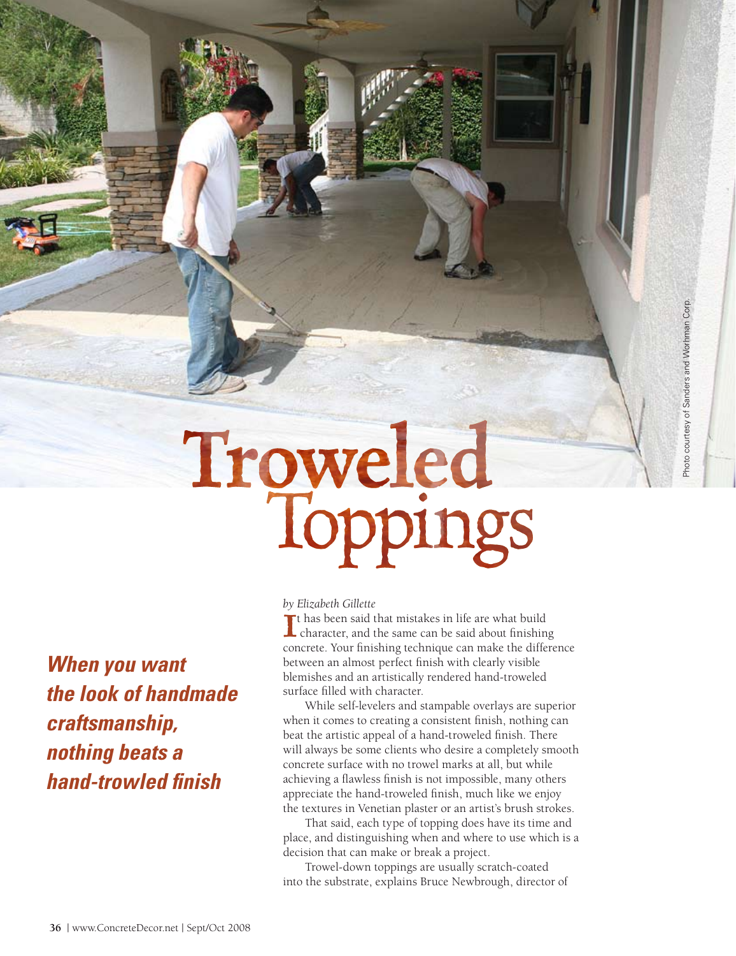Troweled

*When you want the look of handmade craftsmanship, nothing beats a hand-trowled finish*

#### *by Elizabeth Gillette*

If has been said that mistakes in life are what build<br>character, and the same can be said about finishing character, and the same can be said about finishing concrete. Your finishing technique can make the difference between an almost perfect finish with clearly visible blemishes and an artistically rendered hand-troweled surface filled with character.

Photo courtesy of Sanders and Worhman Corp. Photo courtesy of Sanders and Worhman Corp.

While self-levelers and stampable overlays are superior when it comes to creating a consistent finish, nothing can beat the artistic appeal of a hand-troweled finish. There will always be some clients who desire a completely smooth concrete surface with no trowel marks at all, but while achieving a flawless finish is not impossible, many others appreciate the hand-troweled finish, much like we enjoy the textures in Venetian plaster or an artist's brush strokes.

That said, each type of topping does have its time and place, and distinguishing when and where to use which is a decision that can make or break a project.

Trowel-down toppings are usually scratch-coated into the substrate, explains Bruce Newbrough, director of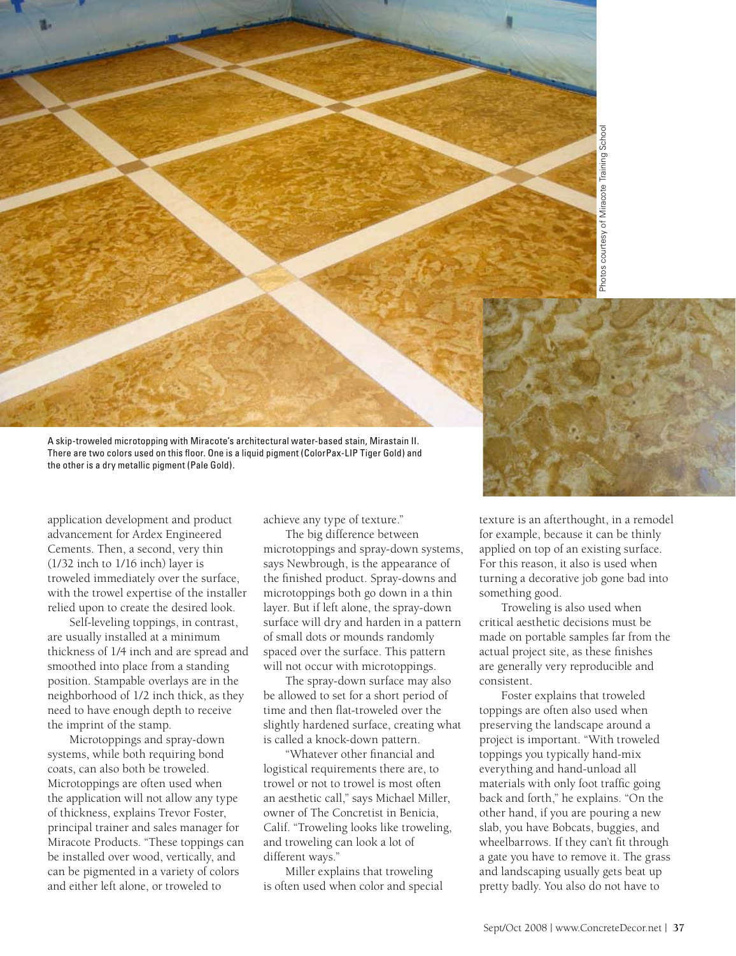

A skip-troweled microtopping with Miracote's architectural water-based stain, Mirastain II. There are two colors used on this floor. One is a liquid pigment (ColorPax-LIP Tiger Gold) and the other is a dry metallic pigment (Pale Gold).

application development and product advancement for Ardex Engineered Cements. Then, a second, very thin (1/32 inch to 1/16 inch) layer is troweled immediately over the surface, with the trowel expertise of the installer relied upon to create the desired look.

Self-leveling toppings, in contrast, are usually installed at a minimum thickness of 1/4 inch and are spread and smoothed into place from a standing position. Stampable overlays are in the neighborhood of 1/2 inch thick, as they need to have enough depth to receive the imprint of the stamp.

Microtoppings and spray-down systems, while both requiring bond coats, can also both be troweled. Microtoppings are often used when the application will not allow any type of thickness, explains Trevor Foster, principal trainer and sales manager for Miracote Products. "These toppings can be installed over wood, vertically, and can be pigmented in a variety of colors and either left alone, or troweled to

achieve any type of texture."

The big difference between microtoppings and spray-down systems, says Newbrough, is the appearance of the finished product. Spray-downs and microtoppings both go down in a thin layer. But if left alone, the spray-down surface will dry and harden in a pattern of small dots or mounds randomly spaced over the surface. This pattern will not occur with microtoppings.

The spray-down surface may also be allowed to set for a short period of time and then flat-troweled over the slightly hardened surface, creating what is called a knock-down pattern.

"Whatever other financial and logistical requirements there are, to trowel or not to trowel is most often an aesthetic call," says Michael Miller, owner of The Concretist in Benicia, Calif. "Troweling looks like troweling, and troweling can look a lot of different ways."

Miller explains that troweling is often used when color and special texture is an afterthought, in a remodel for example, because it can be thinly applied on top of an existing surface. For this reason, it also is used when turning a decorative job gone bad into something good.

Troweling is also used when critical aesthetic decisions must be made on portable samples far from the actual project site, as these finishes are generally very reproducible and consistent.

Foster explains that troweled toppings are often also used when preserving the landscape around a project is important. "With troweled toppings you typically hand-mix everything and hand-unload all materials with only foot traffic going back and forth," he explains. "On the other hand, if you are pouring a new slab, you have Bobcats, buggies, and wheelbarrows. If they can't fit through a gate you have to remove it. The grass and landscaping usually gets beat up pretty badly. You also do not have to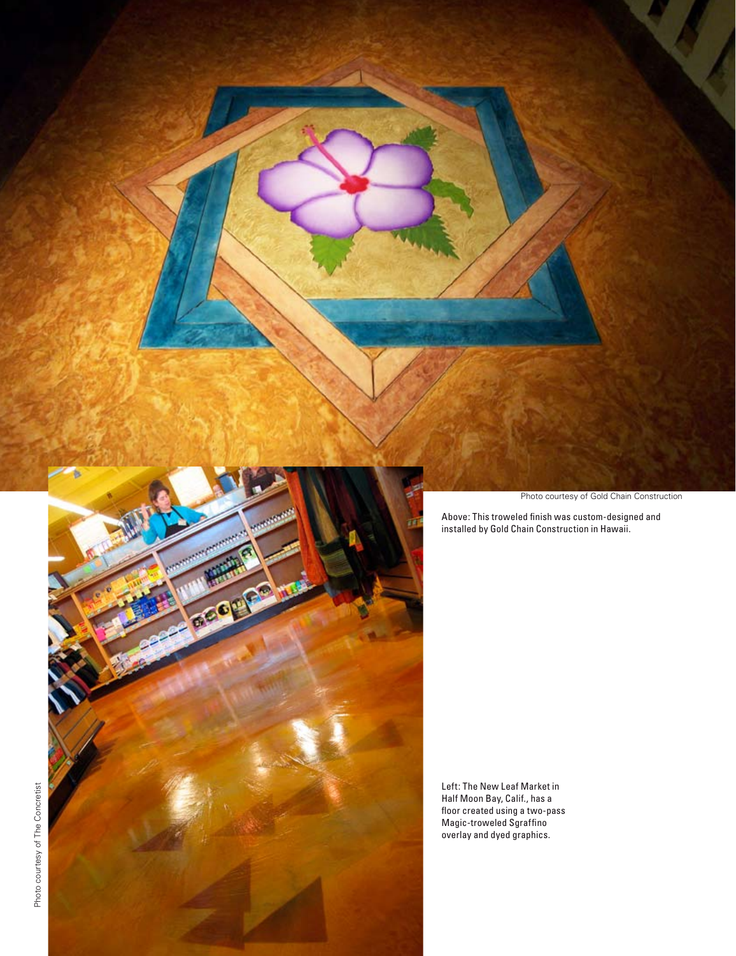

Photo courtesy of Gold Chain Construction

Above: This troweled finish was custom-designed and installed by Gold Chain Construction in Hawaii.

Left: The New Leaf Market in Half Moon Bay, Calif., has a floor created using a two-pass Magic-troweled Sgraffino overlay and dyed graphics.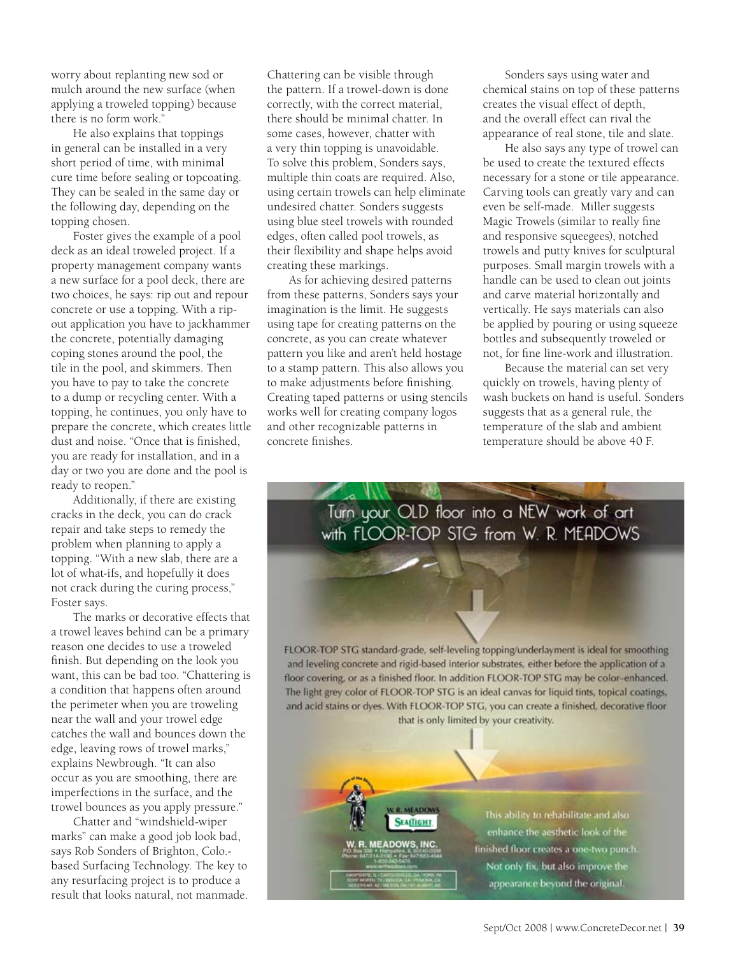worry about replanting new sod or mulch around the new surface (when applying a troweled topping) because there is no form work."

He also explains that toppings in general can be installed in a very short period of time, with minimal cure time before sealing or topcoating. They can be sealed in the same day or the following day, depending on the topping chosen.

Foster gives the example of a pool deck as an ideal troweled project. If a property management company wants a new surface for a pool deck, there are two choices, he says: rip out and repour concrete or use a topping. With a ripout application you have to jackhammer the concrete, potentially damaging coping stones around the pool, the tile in the pool, and skimmers. Then you have to pay to take the concrete to a dump or recycling center. With a topping, he continues, you only have to prepare the concrete, which creates little dust and noise. "Once that is finished, you are ready for installation, and in a day or two you are done and the pool is ready to reopen."

Additionally, if there are existing cracks in the deck, you can do crack repair and take steps to remedy the problem when planning to apply a topping. "With a new slab, there are a lot of what-ifs, and hopefully it does not crack during the curing process," Foster says.

The marks or decorative effects that a trowel leaves behind can be a primary reason one decides to use a troweled finish. But depending on the look you want, this can be bad too. "Chattering is a condition that happens often around the perimeter when you are troweling near the wall and your trowel edge catches the wall and bounces down the edge, leaving rows of trowel marks," explains Newbrough. "It can also occur as you are smoothing, there are imperfections in the surface, and the trowel bounces as you apply pressure."

Chatter and "windshield-wiper marks" can make a good job look bad, says Rob Sonders of Brighton, Colo. based Surfacing Technology. The key to any resurfacing project is to produce a result that looks natural, not manmade. Chattering can be visible through the pattern. If a trowel-down is done correctly, with the correct material, there should be minimal chatter. In some cases, however, chatter with a very thin topping is unavoidable. To solve this problem, Sonders says, multiple thin coats are required. Also, using certain trowels can help eliminate undesired chatter. Sonders suggests using blue steel trowels with rounded edges, often called pool trowels, as their flexibility and shape helps avoid creating these markings.

As for achieving desired patterns from these patterns, Sonders says your imagination is the limit. He suggests using tape for creating patterns on the concrete, as you can create whatever pattern you like and aren't held hostage to a stamp pattern. This also allows you to make adjustments before finishing. Creating taped patterns or using stencils works well for creating company logos and other recognizable patterns in concrete finishes.

Sonders says using water and chemical stains on top of these patterns creates the visual effect of depth, and the overall effect can rival the appearance of real stone, tile and slate.

He also says any type of trowel can be used to create the textured effects necessary for a stone or tile appearance. Carving tools can greatly vary and can even be self-made. Miller suggests Magic Trowels (similar to really fine and responsive squeegees), notched trowels and putty knives for sculptural purposes. Small margin trowels with a handle can be used to clean out joints and carve material horizontally and vertically. He says materials can also be applied by pouring or using squeeze bottles and subsequently troweled or not, for fine line-work and illustration.

Because the material can set very quickly on trowels, having plenty of wash buckets on hand is useful. Sonders suggests that as a general rule, the temperature of the slab and ambient temperature should be above 40 F.

Turn your OLD floor into a NEW work of art with FLOOR-TOP STG from W. R. MEADOWS

FLOOR-TOP STG standard-grade, self-leveling topping/underlayment is ideal for smoothing and leveling concrete and rigid-based interior substrates, either before the application of a floor covering, or as a finished floor. In addition FLOOR-TOP STG may be color-enhanced. The light grey color of FLOOR-TOP STG is an ideal canvas for liquid tints, topical coatings, and acid stains or dyes. With FLOOR-TOP STG, you can create a finished, decorative floor that is only limited by your creativity.

**R. MEADOWS** 

**SEATTIGHT** 

**EADOWS, INC.** 

This ability to rehabilitate and also enhance the aesthetic look of the finished floor creates a one-two punch. Not only fix, but also improve the appearance beyond the original.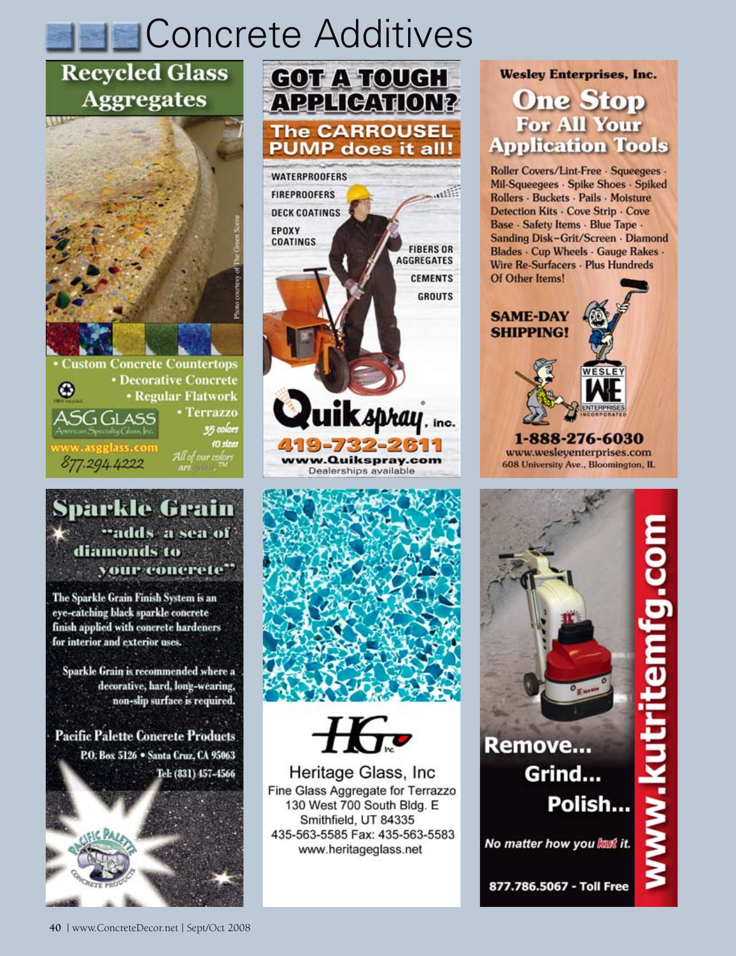# **Concrete Additives**

## **Recycled Glass Aggregates**

1177



**• Regular Flatwork Terrazzo** 35 colors 10 sizas r colors 877.294.4222

## Sparkle Grain "adds a sea of" diamonds to your concrete"

The Sparkle Grain Finish System is an eye-catching black sparkle concrete finish applied with concrete hardeners for interior and exterior uses.

Sparkle Grain is recommended where a decorative, hard, long-wearing, non-slip surface is required.

**Pacific Palette Concrete Products** P.O. Box 5126 . Santa Cruz, CA 95063 Tel: (831) 457-4566









Heritage Glass, Inc. Fine Glass Aggregate for Terrazzo 130 West 700 South Bldg. E Smithfield, UT 84335 435-563-5585 Fax: 435-563-5583 www.heritageglass.net

**Wesley Enterprises, Inc. One Stop** For All Your **Application Tools** 

Roller Covers/Lint-Free · Squeegees · Mil-Squeegees - Spike Shoes - Spiked Rollers · Buckets · Pails · Moisture Detection Kits - Cove Strip - Cove Base - Safety Items - Blue Tape -Sanding Disk-Grit/Screen · Diamond Blades · Cup Wheels · Gauge Rakes · Wire Re-Surfacers · Plus Hundreds Of Other Items!



www.wesleyenterprises.com 608 University Ave., Bloomington, IL

Remove... Grind... Polish...

No matter how you kant it.

877.786.5067 - Toll Free

**TIOJ-COT UNANGI**